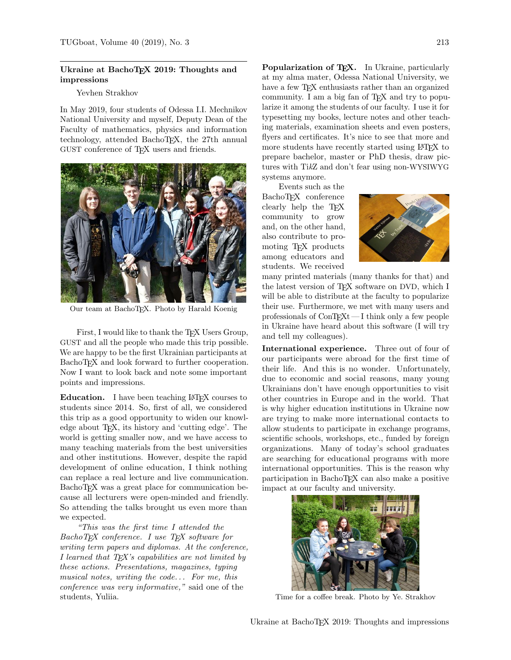## Ukraine at BachoTEX 2019: Thoughts and impressions

## Yevhen Strakhov

In May 2019, four students of Odessa I.I. Mechnikov National University and myself, Deputy Dean of the Faculty of mathematics, physics and information technology, attended BachoTEX, the 27th annual GUST conference of TEX users and friends.



Our team at BachoTEX. Photo by Harald Koenig

First, I would like to thank the TFX Users Group, GUST and all the people who made this trip possible. We are happy to be the first Ukrainian participants at BachoTEX and look forward to further cooperation. Now I want to look back and note some important points and impressions.

Education. I have been teaching LAT<sub>EX</sub> courses to students since 2014. So, first of all, we considered this trip as a good opportunity to widen our knowledge about T<sub>EX</sub>, its history and 'cutting edge'. The world is getting smaller now, and we have access to many teaching materials from the best universities and other institutions. However, despite the rapid development of online education, I think nothing can replace a real lecture and live communication. BachoT<sub>EX</sub> was a great place for communication because all lecturers were open-minded and friendly. So attending the talks brought us even more than we expected.

"This was the first time I attended the BachoTEX conference. I use TEX software for writing term papers and diplomas. At the conference, I learned that  $T_{E}X$ 's capabilities are not limited by these actions. Presentations, magazines, typing musical notes, writing the code. . . For me, this conference was very informative," said one of the students, Yuliia.

Popularization of TEX. In Ukraine, particularly at my alma mater, Odessa National University, we have a few TEX enthusiasts rather than an organized community. I am a big fan of TEX and try to popularize it among the students of our faculty. I use it for typesetting my books, lecture notes and other teaching materials, examination sheets and even posters, flyers and certificates. It's nice to see that more and more students have recently started using LAT<sub>EX</sub> to prepare bachelor, master or PhD thesis, draw pictures with TikZ and don't fear using non-WYSIWYG systems anymore.

Events such as the BachoT<sub>F</sub>X conference clearly help the TEX community to grow and, on the other hand, also contribute to promoting TEX products among educators and students. We received



many printed materials (many thanks for that) and the latest version of TEX software on DVD, which I will be able to distribute at the faculty to popularize their use. Furthermore, we met with many users and professionals of  $\text{ConTr}X_t - I$  think only a few people in Ukraine have heard about this software (I will try and tell my colleagues).

International experience. Three out of four of our participants were abroad for the first time of their life. And this is no wonder. Unfortunately, due to economic and social reasons, many young Ukrainians don't have enough opportunities to visit other countries in Europe and in the world. That is why higher education institutions in Ukraine now are trying to make more international contacts to allow students to participate in exchange programs, scientific schools, workshops, etc., funded by foreign organizations. Many of today's school graduates are searching for educational programs with more international opportunities. This is the reason why participation in BachoTEX can also make a positive impact at our faculty and university.



Time for a coffee break. Photo by Ye. Strakhov